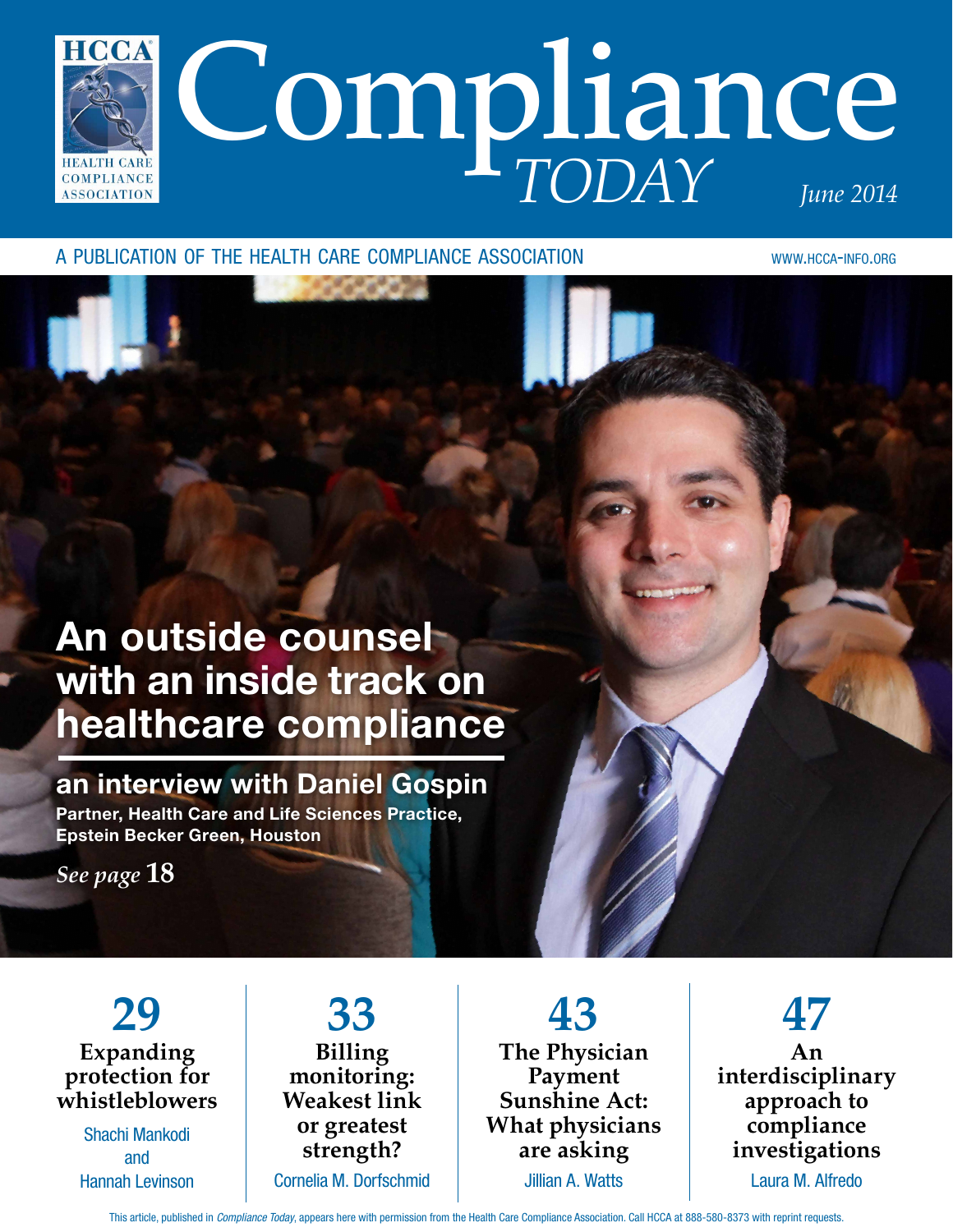

a publication of the health care compliance association www.hcca-info.org

*CAR A CARD* 

## An outside counsel with an inside track on healthcare compliance

an interview with Daniel Gospin Partner, Health Care and Life Sciences Practice, Epstein Becker Green, Houston

*See page* **18**

**29 Expanding protection for whistleblowers**

> Shachi Mankodi and Hannah Levinson

**33 Billing monitoring: Weakest link or greatest strength?** Cornelia M. Dorfschmid

**43 The Physician Payment Sunshine Act: What physicians are asking** Jillian A. Watts

**47 An interdisciplinary approach to compliance investigations**

Laura M. Alfredo

This article, published in *Compliance Today*, appears here with permission from the Health Care Compliance Association. Call HCCA at 888-580-8373 with reprint requests.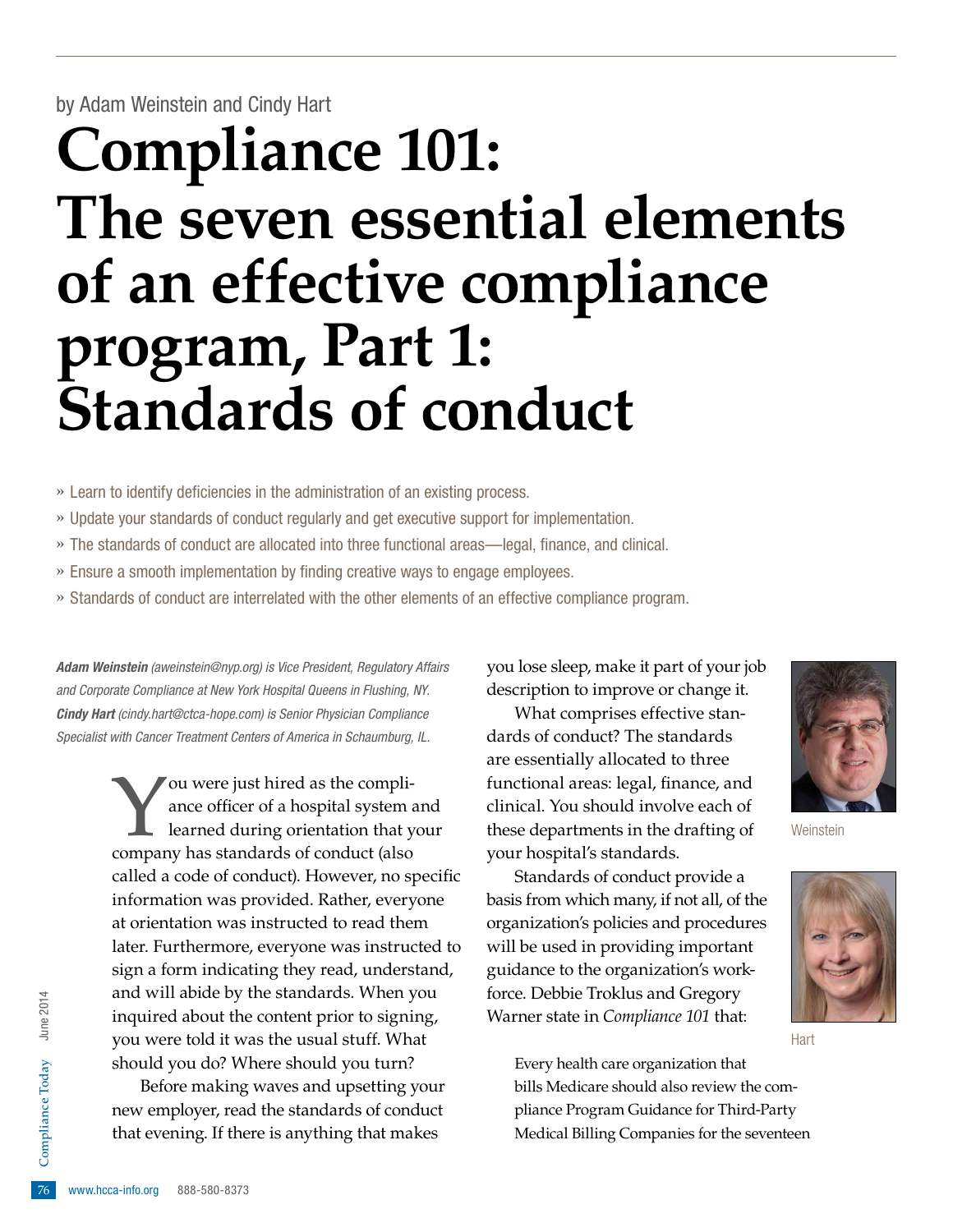### by Adam Weinstein and Cindy Hart

# **Compliance 101: The seven essential elements of an effective compliance program, Part 1: Standards of conduct**

» Learn to identify deficiencies in the administration of an existing process.

- » Update your standards of conduct regularly and get executive support for implementation.
- » The standards of conduct are allocated into three functional areas—legal, finance, and clinical.
- » Ensure a smooth implementation by finding creative ways to engage employees.
- » Standards of conduct are interrelated with the other elements of an effective compliance program.

*Adam Weinstein [\(aweinstein@nyp.org](mailto:aweinstein@nyp.org)) is Vice President, Regulatory Affairs and Corporate Compliance at New York Hospital Queens in Flushing, NY. Cindy Hart ([cindy.hart@ctca-hope.com](mailto:CINDY.HART@CTCA-HOPE.COM)) is Senior Physician Compliance Specialist with Cancer Treatment Centers of America in Schaumburg, IL.* 

> You were just hired as the compli-<br>ance officer of a hospital system a<br>learned during orientation that y ance officer of a hospital system and learned during orientation that your company has standards of conduct (also called a code of conduct). However, no specific information was provided. Rather, everyone at orientation was instructed to read them later. Furthermore, everyone was instructed to sign a form indicating they read, understand, and will abide by the standards. When you inquired about the content prior to signing, you were told it was the usual stuff. What should you do? Where should you turn?

rew employer, read<br>that evening. If the<br> $\frac{5}{26}$  www.hcca-info.org 888-580-8373 Before making waves and upsetting your new employer, read the standards of conduct that evening. If there is anything that makes

you lose sleep, make it part of your job description to improve or change it.

What comprises effective standards of conduct? The standards are essentially allocated to three functional areas: legal, finance, and clinical. You should involve each of these departments in the drafting of your hospital's standards.

Standards of conduct provide a basis from which many, if not all, of the organization's policies and procedures will be used in providing important guidance to the organization's workforce. Debbie Troklus and Gregory Warner state in *Compliance 101* that:



**Weinstein** 



**Hart** 

Every health care organization that bills Medicare should also review the compliance Program Guidance for Third-Party Medical Billing Companies for the seventeen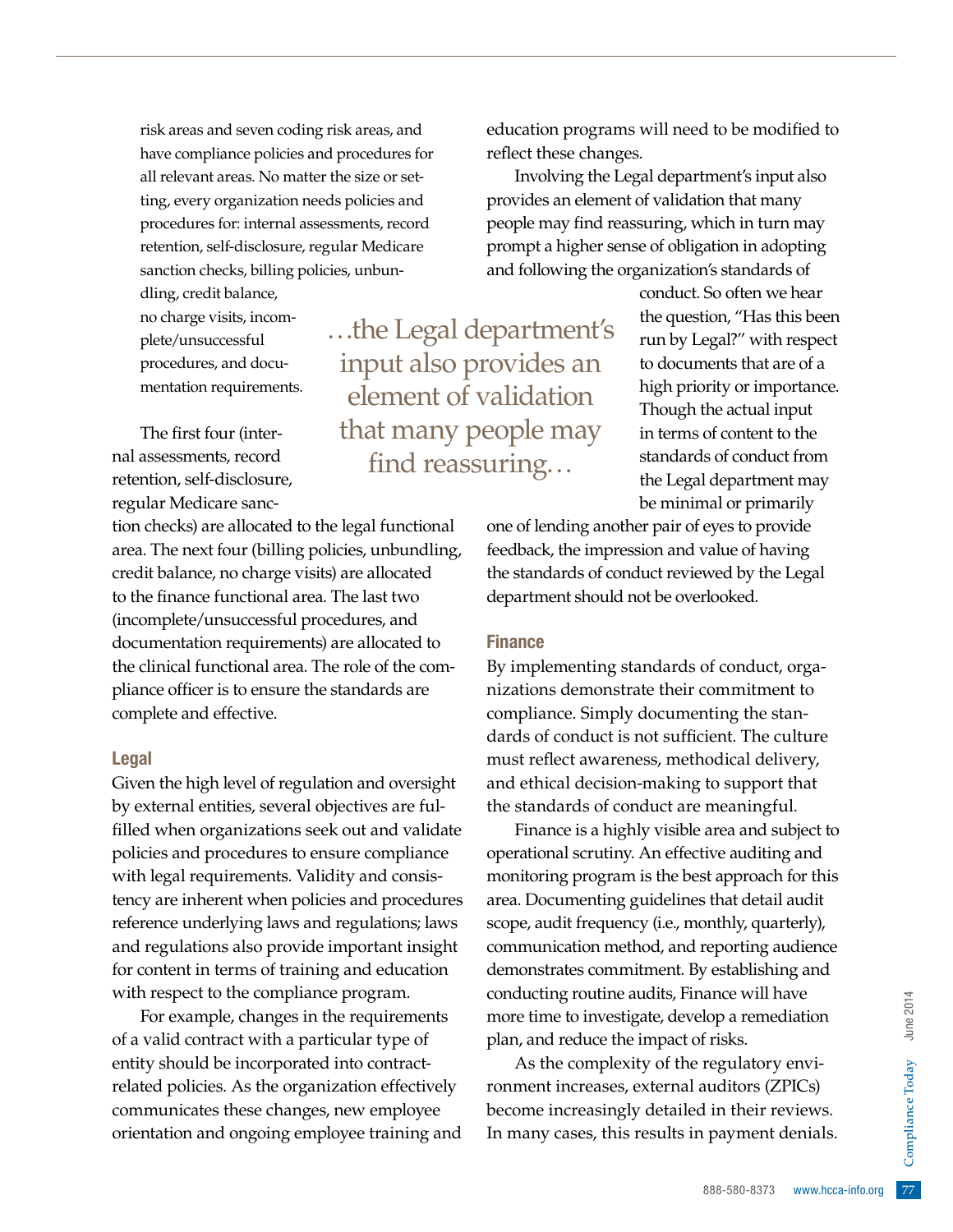risk areas and seven coding risk areas, and have compliance policies and procedures for all relevant areas. No matter the size or setting, every organization needs policies and procedures for: internal assessments, record retention, self-disclosure, regular Medicare sanction checks, billing policies, unbun-

dling, credit balance, no charge visits, incomplete/unsuccessful procedures, and documentation requirements.

The first four (internal assessments, record retention, self-disclosure, regular Medicare sanc-

tion checks) are allocated to the legal functional area. The next four (billing policies, unbundling, credit balance, no charge visits) are allocated to the finance functional area. The last two (incomplete/unsuccessful procedures, and documentation requirements) are allocated to the clinical functional area. The role of the compliance officer is to ensure the standards are complete and effective.

#### Legal

Given the high level of regulation and oversight by external entities, several objectives are fulfilled when organizations seek out and validate policies and procedures to ensure compliance with legal requirements. Validity and consistency are inherent when policies and procedures reference underlying laws and regulations; laws and regulations also provide important insight for content in terms of training and education with respect to the compliance program.

For example, changes in the requirements of a valid contract with a particular type of entity should be incorporated into contractrelated policies. As the organization effectively communicates these changes, new employee orientation and ongoing employee training and

…the Legal department's input also provides an element of validation that many people may find reassuring…

education programs will need to be modified to reflect these changes.

Involving the Legal department's input also provides an element of validation that many people may find reassuring, which in turn may prompt a higher sense of obligation in adopting and following the organization's standards of

> conduct. So often we hear the question, "Has this been run by Legal?" with respect to documents that are of a high priority or importance. Though the actual input in terms of content to the standards of conduct from the Legal department may be minimal or primarily

one of lending another pair of eyes to provide feedback, the impression and value of having the standards of conduct reviewed by the Legal department should not be overlooked.

#### Finance

By implementing standards of conduct, organizations demonstrate their commitment to compliance. Simply documenting the standards of conduct is not sufficient. The culture must reflect awareness, methodical delivery, and ethical decision-making to support that the standards of conduct are meaningful.

Finance is a highly visible area and subject to operational scrutiny. An effective auditing and monitoring program is the best approach for this area. Documenting guidelines that detail audit scope, audit frequency (i.e., monthly, quarterly), communication method, and reporting audience demonstrates commitment. By establishing and conducting routine audits, Finance will have more time to investigate, develop a remediation plan, and reduce the impact of risks.

ance will nave<br>
lop a remediation<br>
f risks.<br>
regulatory envi-<br>
auditors (ZPICs)<br>
d in their reviews.<br>
payment denials.<br>
888-580-8373 www.hcca-info.org 77 As the complexity of the regulatory environment increases, external auditors (ZPICs) become increasingly detailed in their reviews. In many cases, this results in payment denials.